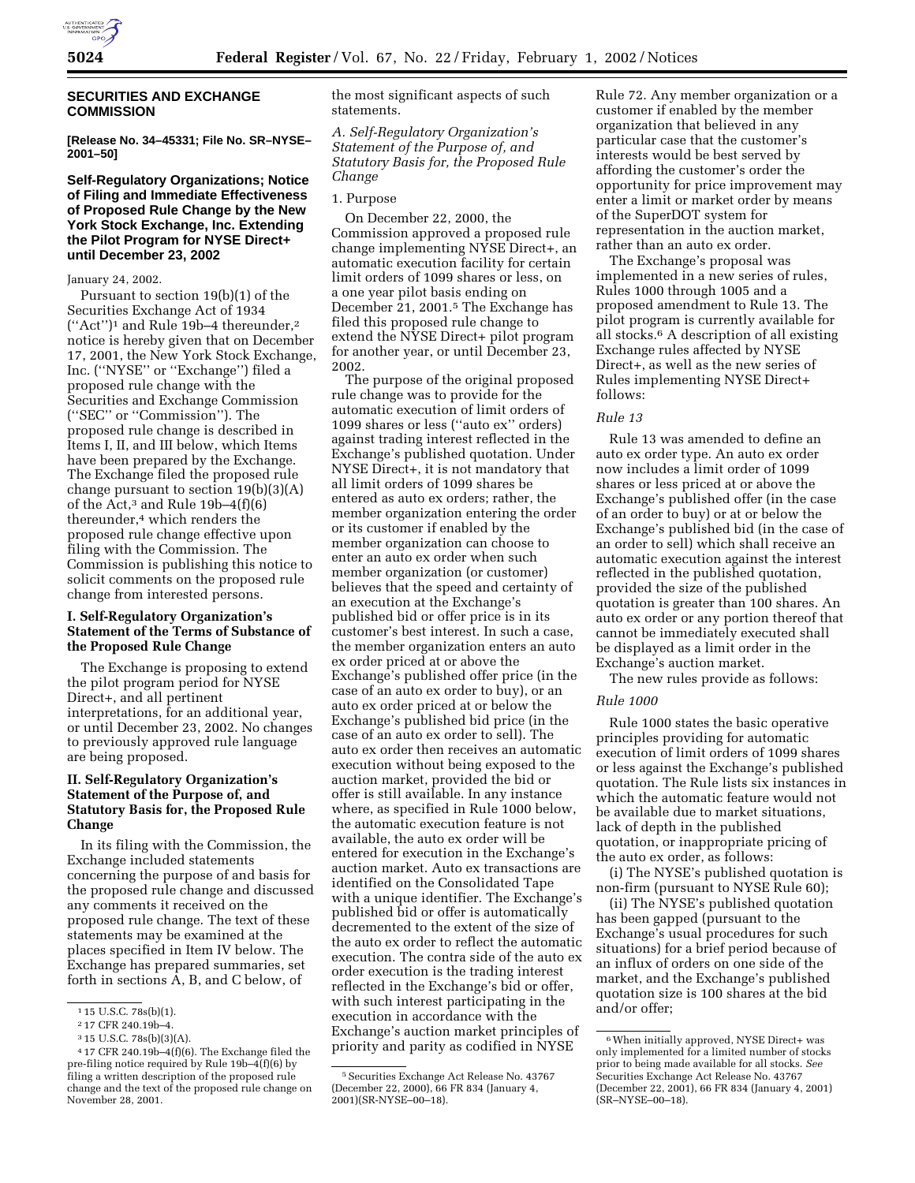

## **SECURITIES AND EXCHANGE COMMISSION**

**[Release No. 34–45331; File No. SR–NYSE– 2001–50]**

# **Self-Regulatory Organizations; Notice of Filing and Immediate Effectiveness of Proposed Rule Change by the New York Stock Exchange, Inc. Extending the Pilot Program for NYSE Direct+ until December 23, 2002**

### January 24, 2002.

Pursuant to section 19(b)(1) of the Securities Exchange Act of 1934 (''Act'')1 and Rule 19b–4 thereunder,2 notice is hereby given that on December 17, 2001, the New York Stock Exchange, Inc. (''NYSE'' or ''Exchange'') filed a proposed rule change with the Securities and Exchange Commission (''SEC'' or ''Commission''). The proposed rule change is described in Items I, II, and III below, which Items have been prepared by the Exchange. The Exchange filed the proposed rule change pursuant to section 19(b)(3)(A) of the Act,<sup>3</sup> and Rule  $19b-4(f)(6)$ thereunder,4 which renders the proposed rule change effective upon filing with the Commission. The Commission is publishing this notice to solicit comments on the proposed rule change from interested persons.

## **I. Self-Regulatory Organization's Statement of the Terms of Substance of the Proposed Rule Change**

The Exchange is proposing to extend the pilot program period for NYSE Direct+, and all pertinent interpretations, for an additional year, or until December 23, 2002. No changes to previously approved rule language are being proposed.

# **II. Self-Regulatory Organization's Statement of the Purpose of, and Statutory Basis for, the Proposed Rule Change**

In its filing with the Commission, the Exchange included statements concerning the purpose of and basis for the proposed rule change and discussed any comments it received on the proposed rule change. The text of these statements may be examined at the places specified in Item IV below. The Exchange has prepared summaries, set forth in sections A, B, and C below, of

the most significant aspects of such statements.

*A. Self-Regulatory Organization's Statement of the Purpose of, and Statutory Basis for, the Proposed Rule Change*

#### 1. Purpose

On December 22, 2000, the Commission approved a proposed rule change implementing NYSE Direct+, an automatic execution facility for certain limit orders of 1099 shares or less, on a one year pilot basis ending on December 21, 2001.5 The Exchange has filed this proposed rule change to extend the NYSE Direct+ pilot program for another year, or until December 23, 2002.

The purpose of the original proposed rule change was to provide for the automatic execution of limit orders of 1099 shares or less (''auto ex'' orders) against trading interest reflected in the Exchange's published quotation. Under NYSE Direct+, it is not mandatory that all limit orders of 1099 shares be entered as auto ex orders; rather, the member organization entering the order or its customer if enabled by the member organization can choose to enter an auto ex order when such member organization (or customer) believes that the speed and certainty of an execution at the Exchange's published bid or offer price is in its customer's best interest. In such a case, the member organization enters an auto ex order priced at or above the Exchange's published offer price (in the case of an auto ex order to buy), or an auto ex order priced at or below the Exchange's published bid price (in the case of an auto ex order to sell). The auto ex order then receives an automatic execution without being exposed to the auction market, provided the bid or offer is still available. In any instance where, as specified in Rule 1000 below, the automatic execution feature is not available, the auto ex order will be entered for execution in the Exchange's auction market. Auto ex transactions are identified on the Consolidated Tape with a unique identifier. The Exchange's published bid or offer is automatically decremented to the extent of the size of the auto ex order to reflect the automatic execution. The contra side of the auto ex order execution is the trading interest reflected in the Exchange's bid or offer, with such interest participating in the execution in accordance with the Exchange's auction market principles of priority and parity as codified in NYSE

Rule 72. Any member organization or a customer if enabled by the member organization that believed in any particular case that the customer's interests would be best served by affording the customer's order the opportunity for price improvement may enter a limit or market order by means of the SuperDOT system for representation in the auction market, rather than an auto ex order.

The Exchange's proposal was implemented in a new series of rules, Rules 1000 through 1005 and a proposed amendment to Rule 13. The pilot program is currently available for all stocks.6 A description of all existing Exchange rules affected by NYSE Direct+, as well as the new series of Rules implementing NYSE Direct+ follows:

# *Rule 13*

Rule 13 was amended to define an auto ex order type. An auto ex order now includes a limit order of 1099 shares or less priced at or above the Exchange's published offer (in the case of an order to buy) or at or below the Exchange's published bid (in the case of an order to sell) which shall receive an automatic execution against the interest reflected in the published quotation, provided the size of the published quotation is greater than 100 shares. An auto ex order or any portion thereof that cannot be immediately executed shall be displayed as a limit order in the Exchange's auction market.

The new rules provide as follows:

# *Rule 1000*

Rule 1000 states the basic operative principles providing for automatic execution of limit orders of 1099 shares or less against the Exchange's published quotation. The Rule lists six instances in which the automatic feature would not be available due to market situations, lack of depth in the published quotation, or inappropriate pricing of the auto ex order, as follows:

(i) The NYSE's published quotation is non-firm (pursuant to NYSE Rule 60);

(ii) The NYSE's published quotation has been gapped (pursuant to the Exchange's usual procedures for such situations) for a brief period because of an influx of orders on one side of the market, and the Exchange's published quotation size is 100 shares at the bid and/or offer;

<sup>1</sup> 15 U.S.C. 78s(b)(1).

<sup>2</sup> 17 CFR 240.19b–4.

<sup>3</sup> 15 U.S.C. 78s(b)(3)(A).

<sup>4</sup> 17 CFR 240.19b–4(f)(6). The Exchange filed the pre-filing notice required by Rule 19b–4(f)(6) by filing a written description of the proposed rule change and the text of the proposed rule change on November 28, 2001.

<sup>5</sup>Securities Exchange Act Release No. 43767 (December 22, 2000), 66 FR 834 (January 4, 2001)(SR-NYSE–00–18).

<sup>6</sup>When initially approved, NYSE Direct+ was only implemented for a limited number of stocks prior to being made available for all stocks. *See* Securities Exchange Act Release No. 43767 (December 22, 2001), 66 FR 834 (January 4, 2001) (SR–NYSE–00–18).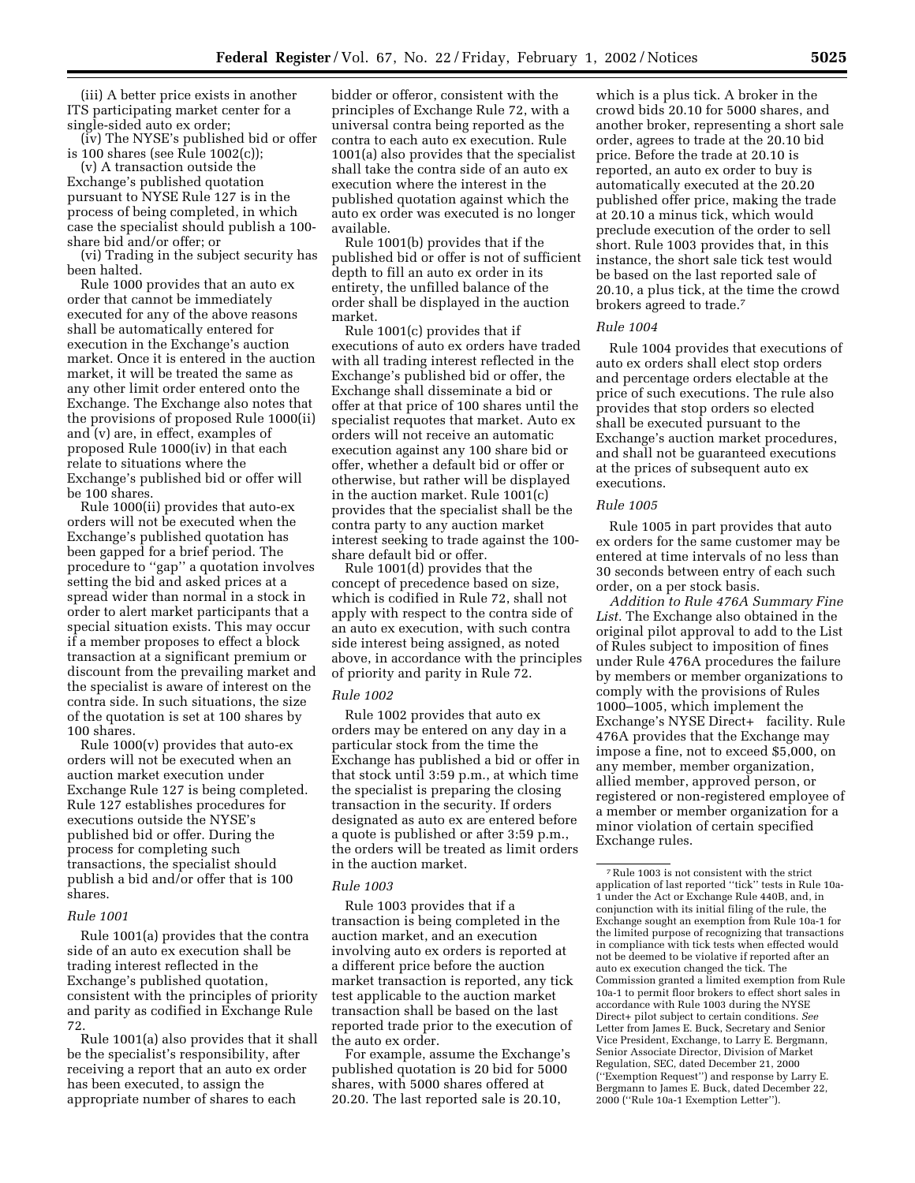(iii) A better price exists in another ITS participating market center for a single-sided auto ex order;

(iv) The NYSE's published bid or offer is 100 shares (see Rule 1002(c));

(v) A transaction outside the Exchange's published quotation pursuant to NYSE Rule 127 is in the process of being completed, in which case the specialist should publish a 100 share bid and/or offer; or

(vi) Trading in the subject security has been halted.

Rule 1000 provides that an auto ex order that cannot be immediately executed for any of the above reasons shall be automatically entered for execution in the Exchange's auction market. Once it is entered in the auction market, it will be treated the same as any other limit order entered onto the Exchange. The Exchange also notes that the provisions of proposed Rule 1000(ii) and (v) are, in effect, examples of proposed Rule 1000(iv) in that each relate to situations where the Exchange's published bid or offer will be 100 shares.

Rule 1000(ii) provides that auto-ex orders will not be executed when the Exchange's published quotation has been gapped for a brief period. The procedure to ''gap'' a quotation involves setting the bid and asked prices at a spread wider than normal in a stock in order to alert market participants that a special situation exists. This may occur if a member proposes to effect a block transaction at a significant premium or discount from the prevailing market and the specialist is aware of interest on the contra side. In such situations, the size of the quotation is set at 100 shares by 100 shares.

Rule 1000(v) provides that auto-ex orders will not be executed when an auction market execution under Exchange Rule 127 is being completed. Rule 127 establishes procedures for executions outside the NYSE's published bid or offer. During the process for completing such transactions, the specialist should publish a bid and/or offer that is 100 shares.

#### *Rule 1001*

Rule 1001(a) provides that the contra side of an auto ex execution shall be trading interest reflected in the Exchange's published quotation, consistent with the principles of priority and parity as codified in Exchange Rule 72.

Rule 1001(a) also provides that it shall be the specialist's responsibility, after receiving a report that an auto ex order has been executed, to assign the appropriate number of shares to each

bidder or offeror, consistent with the principles of Exchange Rule 72, with a universal contra being reported as the contra to each auto ex execution. Rule 1001(a) also provides that the specialist shall take the contra side of an auto ex execution where the interest in the published quotation against which the auto ex order was executed is no longer available.

Rule 1001(b) provides that if the published bid or offer is not of sufficient depth to fill an auto ex order in its entirety, the unfilled balance of the order shall be displayed in the auction market.

Rule 1001(c) provides that if executions of auto ex orders have traded with all trading interest reflected in the Exchange's published bid or offer, the Exchange shall disseminate a bid or offer at that price of 100 shares until the specialist requotes that market. Auto ex orders will not receive an automatic execution against any 100 share bid or offer, whether a default bid or offer or otherwise, but rather will be displayed in the auction market. Rule 1001(c) provides that the specialist shall be the contra party to any auction market interest seeking to trade against the 100 share default bid or offer.

Rule 1001(d) provides that the concept of precedence based on size, which is codified in Rule 72, shall not apply with respect to the contra side of an auto ex execution, with such contra side interest being assigned, as noted above, in accordance with the principles of priority and parity in Rule 72.

#### *Rule 1002*

Rule 1002 provides that auto ex orders may be entered on any day in a particular stock from the time the Exchange has published a bid or offer in that stock until 3:59 p.m., at which time the specialist is preparing the closing transaction in the security. If orders designated as auto ex are entered before a quote is published or after 3:59 p.m., the orders will be treated as limit orders in the auction market.

#### *Rule 1003*

Rule 1003 provides that if a transaction is being completed in the auction market, and an execution involving auto ex orders is reported at a different price before the auction market transaction is reported, any tick test applicable to the auction market transaction shall be based on the last reported trade prior to the execution of the auto ex order.

For example, assume the Exchange's published quotation is 20 bid for 5000 shares, with 5000 shares offered at 20.20. The last reported sale is 20.10,

which is a plus tick. A broker in the crowd bids 20.10 for 5000 shares, and another broker, representing a short sale order, agrees to trade at the 20.10 bid price. Before the trade at 20.10 is reported, an auto ex order to buy is automatically executed at the 20.20 published offer price, making the trade at 20.10 a minus tick, which would preclude execution of the order to sell short. Rule 1003 provides that, in this instance, the short sale tick test would be based on the last reported sale of 20.10, a plus tick, at the time the crowd brokers agreed to trade.7

#### *Rule 1004*

Rule 1004 provides that executions of auto ex orders shall elect stop orders and percentage orders electable at the price of such executions. The rule also provides that stop orders so elected shall be executed pursuant to the Exchange's auction market procedures, and shall not be guaranteed executions at the prices of subsequent auto ex executions.

#### *Rule 1005*

Rule 1005 in part provides that auto ex orders for the same customer may be entered at time intervals of no less than 30 seconds between entry of each such order, on a per stock basis.

*Addition to Rule 476A Summary Fine List.* The Exchange also obtained in the original pilot approval to add to the List of Rules subject to imposition of fines under Rule 476A procedures the failure by members or member organizations to comply with the provisions of Rules 1000–1005, which implement the Exchange's NYSE Direct+® facility. Rule 476A provides that the Exchange may impose a fine, not to exceed \$5,000, on any member, member organization, allied member, approved person, or registered or non-registered employee of a member or member organization for a minor violation of certain specified Exchange rules.

 $^7\rm\,Rule$  1003 is not consistent with the strict application of last reported ''tick'' tests in Rule 10a-1 under the Act or Exchange Rule 440B, and, in conjunction with its initial filing of the rule, the Exchange sought an exemption from Rule 10a-1 for the limited purpose of recognizing that transactions in compliance with tick tests when effected would not be deemed to be violative if reported after an auto ex execution changed the tick. The Commission granted a limited exemption from Rule 10a-1 to permit floor brokers to effect short sales in accordance with Rule 1003 during the NYSE Direct+ pilot subject to certain conditions. *See* Letter from James E. Buck, Secretary and Senior Vice President, Exchange, to Larry E. Bergmann, Senior Associate Director, Division of Market Regulation, SEC, dated December 21, 2000 (''Exemption Request'') and response by Larry E. Bergmann to James E. Buck, dated December 22, 2000 (''Rule 10a-1 Exemption Letter'').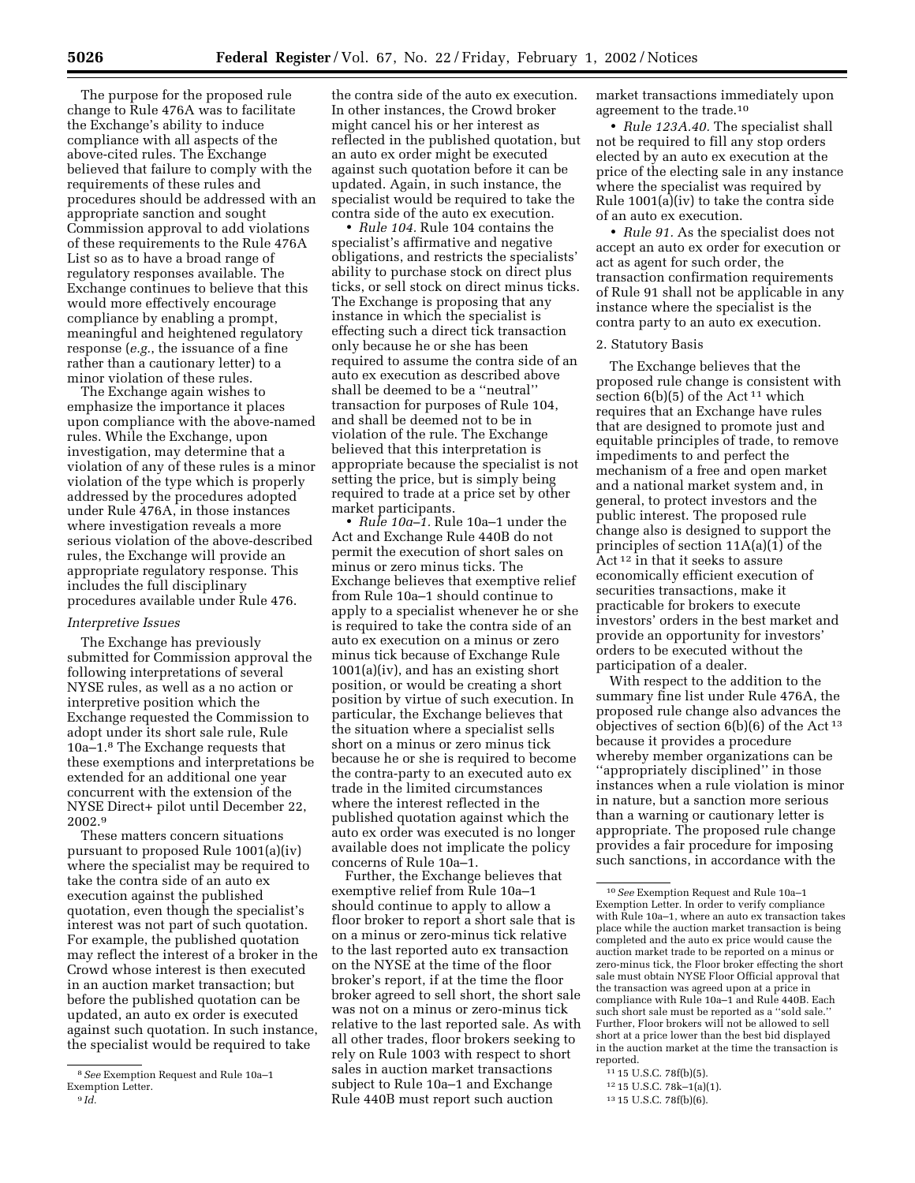The purpose for the proposed rule change to Rule 476A was to facilitate the Exchange's ability to induce compliance with all aspects of the above-cited rules. The Exchange believed that failure to comply with the requirements of these rules and procedures should be addressed with an appropriate sanction and sought Commission approval to add violations of these requirements to the Rule 476A List so as to have a broad range of regulatory responses available. The Exchange continues to believe that this would more effectively encourage compliance by enabling a prompt, meaningful and heightened regulatory response (*e.g.*, the issuance of a fine rather than a cautionary letter) to a minor violation of these rules.

The Exchange again wishes to emphasize the importance it places upon compliance with the above-named rules. While the Exchange, upon investigation, may determine that a violation of any of these rules is a minor violation of the type which is properly addressed by the procedures adopted under Rule 476A, in those instances where investigation reveals a more serious violation of the above-described rules, the Exchange will provide an appropriate regulatory response. This includes the full disciplinary procedures available under Rule 476.

### *Interpretive Issues*

The Exchange has previously submitted for Commission approval the following interpretations of several NYSE rules, as well as a no action or interpretive position which the Exchange requested the Commission to adopt under its short sale rule, Rule 10a–1.8 The Exchange requests that these exemptions and interpretations be extended for an additional one year concurrent with the extension of the NYSE Direct+ pilot until December 22, 2002.9

These matters concern situations pursuant to proposed Rule 1001(a)(iv) where the specialist may be required to take the contra side of an auto ex execution against the published quotation, even though the specialist's interest was not part of such quotation. For example, the published quotation may reflect the interest of a broker in the Crowd whose interest is then executed in an auction market transaction; but before the published quotation can be updated, an auto ex order is executed against such quotation. In such instance, the specialist would be required to take

the contra side of the auto ex execution. In other instances, the Crowd broker might cancel his or her interest as reflected in the published quotation, but an auto ex order might be executed against such quotation before it can be updated. Again, in such instance, the specialist would be required to take the contra side of the auto ex execution.

• *Rule 104.* Rule 104 contains the specialist's affirmative and negative obligations, and restricts the specialists' ability to purchase stock on direct plus ticks, or sell stock on direct minus ticks. The Exchange is proposing that any instance in which the specialist is effecting such a direct tick transaction only because he or she has been required to assume the contra side of an auto ex execution as described above shall be deemed to be a ''neutral'' transaction for purposes of Rule 104, and shall be deemed not to be in violation of the rule. The Exchange believed that this interpretation is appropriate because the specialist is not setting the price, but is simply being required to trade at a price set by other market participants.

• *Rule 10a–1.* Rule 10a–1 under the Act and Exchange Rule 440B do not permit the execution of short sales on minus or zero minus ticks. The Exchange believes that exemptive relief from Rule 10a–1 should continue to apply to a specialist whenever he or she is required to take the contra side of an auto ex execution on a minus or zero minus tick because of Exchange Rule 1001(a)(iv), and has an existing short position, or would be creating a short position by virtue of such execution. In particular, the Exchange believes that the situation where a specialist sells short on a minus or zero minus tick because he or she is required to become the contra-party to an executed auto ex trade in the limited circumstances where the interest reflected in the published quotation against which the auto ex order was executed is no longer available does not implicate the policy concerns of Rule 10a–1.

Further, the Exchange believes that exemptive relief from Rule 10a–1 should continue to apply to allow a floor broker to report a short sale that is on a minus or zero-minus tick relative to the last reported auto ex transaction on the NYSE at the time of the floor broker's report, if at the time the floor broker agreed to sell short, the short sale was not on a minus or zero-minus tick relative to the last reported sale. As with all other trades, floor brokers seeking to rely on Rule 1003 with respect to short sales in auction market transactions subject to Rule 10a–1 and Exchange Rule 440B must report such auction

market transactions immediately upon agreement to the trade.10

• *Rule 123A.40.* The specialist shall not be required to fill any stop orders elected by an auto ex execution at the price of the electing sale in any instance where the specialist was required by Rule 1001(a)(iv) to take the contra side of an auto ex execution.

• *Rule 91.* As the specialist does not accept an auto ex order for execution or act as agent for such order, the transaction confirmation requirements of Rule 91 shall not be applicable in any instance where the specialist is the contra party to an auto ex execution.

## 2. Statutory Basis

The Exchange believes that the proposed rule change is consistent with section  $6(b)(5)$  of the Act<sup>11</sup> which requires that an Exchange have rules that are designed to promote just and equitable principles of trade, to remove impediments to and perfect the mechanism of a free and open market and a national market system and, in general, to protect investors and the public interest. The proposed rule change also is designed to support the principles of section 11A(a)(1) of the Act 12 in that it seeks to assure economically efficient execution of securities transactions, make it practicable for brokers to execute investors' orders in the best market and provide an opportunity for investors' orders to be executed without the participation of a dealer.

With respect to the addition to the summary fine list under Rule 476A, the proposed rule change also advances the objectives of section 6(b)(6) of the Act 13 because it provides a procedure whereby member organizations can be ''appropriately disciplined'' in those instances when a rule violation is minor in nature, but a sanction more serious than a warning or cautionary letter is appropriate. The proposed rule change provides a fair procedure for imposing such sanctions, in accordance with the

- 11 15 U.S.C. 78f(b)(5).
- 12 15 U.S.C. 78k–1(a)(1).

<sup>8</sup>*See* Exemption Request and Rule 10a–1 Exemption Letter. 9 *Id.*

<sup>10</sup>*See* Exemption Request and Rule 10a–1 Exemption Letter. In order to verify compliance with Rule 10a–1, where an auto ex transaction takes place while the auction market transaction is being completed and the auto ex price would cause the auction market trade to be reported on a minus or zero-minus tick, the Floor broker effecting the short sale must obtain NYSE Floor Official approval that the transaction was agreed upon at a price in compliance with Rule 10a–1 and Rule 440B. Each such short sale must be reported as a ''sold sale.'' Further, Floor brokers will not be allowed to sell short at a price lower than the best bid displayed in the auction market at the time the transaction is reported.

<sup>13</sup> 15 U.S.C. 78f(b)(6).